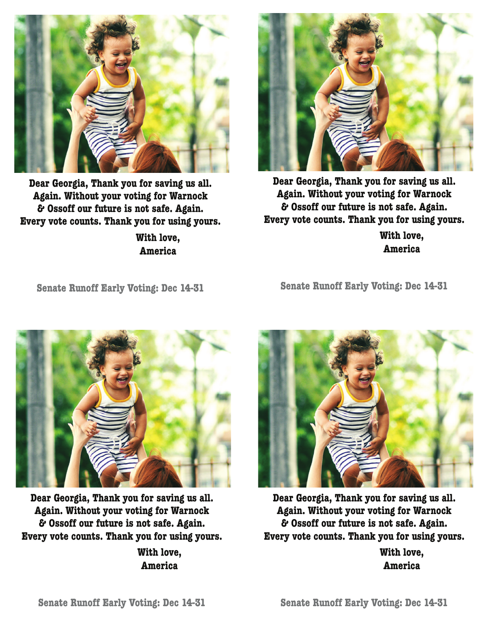

**Dear Georgia, Thank you for saving us all. Again. Without your voting for Warnock & Ossoff our future is not safe. Again. Every vote counts. Thank you for using yours.**

> **With love, America**



**Dear Georgia, Thank you for saving us all. Again. Without your voting for Warnock & Ossoff our future is not safe. Again. Every vote counts. Thank you for using yours.**

**With love, America**

**Senate Runoff Early Voting: Dec 14-31**

**Senate Runoff Early Voting: Dec 14-31**



**Dear Georgia, Thank you for saving us all. Again. Without your voting for Warnock & Ossoff our future is not safe. Again. Every vote counts. Thank you for using yours.**

**With love, America**



**Dear Georgia, Thank you for saving us all. Again. Without your voting for Warnock & Ossoff our future is not safe. Again. Every vote counts. Thank you for using yours.**

**With love, America**